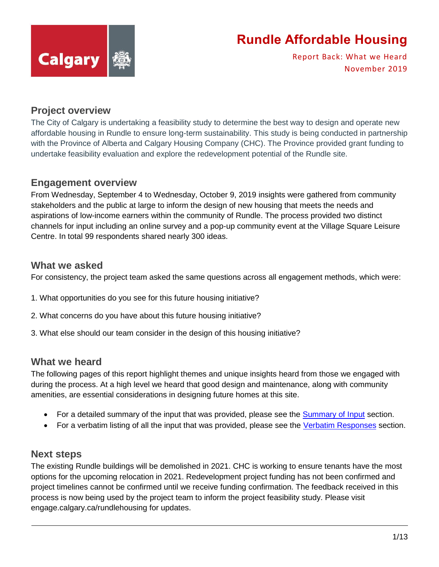

Report Back: What we Heard November 2019

### **Project overview**

The City of Calgary is undertaking a feasibility study to determine the best way to design and operate new affordable housing in Rundle to ensure long-term sustainability. This study is being conducted in partnership with the Province of Alberta and Calgary Housing Company (CHC). The Province provided grant funding to undertake feasibility evaluation and explore the redevelopment potential of the Rundle site.

### **Engagement overview**

From Wednesday, September 4 to Wednesday, October 9, 2019 insights were gathered from community stakeholders and the public at large to inform the design of new housing that meets the needs and aspirations of low-income earners within the community of Rundle. The process provided two distinct channels for input including an online survey and a pop-up community event at the Village Square Leisure Centre. In total 99 respondents shared nearly 300 ideas.

### **What we asked**

For consistency, the project team asked the same questions across all engagement methods, which were:

- 1. What opportunities do you see for this future housing initiative?
- 2. What concerns do you have about this future housing initiative?
- 3. What else should our team consider in the design of this housing initiative?

### **What we heard**

The following pages of this report highlight themes and unique insights heard from those we engaged with during the process. At a high level we heard that good design and maintenance, along with community amenities, are essential considerations in designing future homes at this site.

- For a detailed summary of the input that was provided, please see the [Summary of Input](#page-1-0) section.
- For a verbatim listing of all the input that was provided, please see the [Verbatim Responses](#page-3-0) section.

### **Next steps**

The existing Rundle buildings will be demolished in 2021. CHC is working to ensure tenants have the most options for the upcoming relocation in 2021. Redevelopment project funding has not been confirmed and project timelines cannot be confirmed until we receive funding confirmation. The feedback received in this process is now being used by the project team to inform the project feasibility study. Please visit engage.calgary.ca/rundlehousing for updates.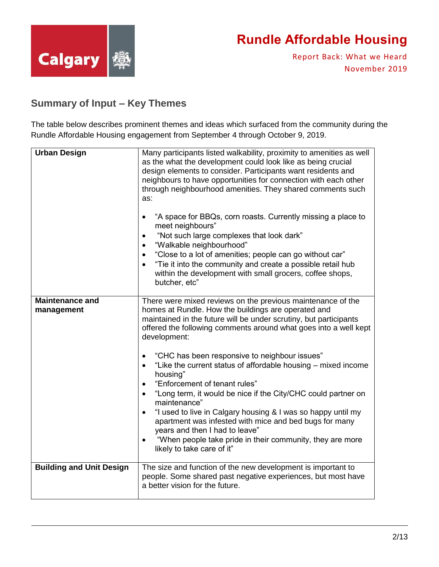

Report Back: What we Heard November 2019

### <span id="page-1-0"></span>**Summary of Input – Key Themes**

The table below describes prominent themes and ideas which surfaced from the community during the Rundle Affordable Housing engagement from September 4 through October 9, 2019.

| <b>Urban Design</b>                  | Many participants listed walkability, proximity to amenities as well<br>as the what the development could look like as being crucial<br>design elements to consider. Participants want residents and<br>neighbours to have opportunities for connection with each other<br>through neighbourhood amenities. They shared comments such<br>as:<br>"A space for BBQs, corn roasts. Currently missing a place to<br>meet neighbours"<br>"Not such large complexes that look dark"<br>$\bullet$<br>"Walkable neighbourhood"<br>"Close to a lot of amenities; people can go without car"<br>$\bullet$<br>"Tie it into the community and create a possible retail hub<br>within the development with small grocers, coffee shops,<br>butcher, etc"                                                                                                              |
|--------------------------------------|----------------------------------------------------------------------------------------------------------------------------------------------------------------------------------------------------------------------------------------------------------------------------------------------------------------------------------------------------------------------------------------------------------------------------------------------------------------------------------------------------------------------------------------------------------------------------------------------------------------------------------------------------------------------------------------------------------------------------------------------------------------------------------------------------------------------------------------------------------|
| <b>Maintenance and</b><br>management | There were mixed reviews on the previous maintenance of the<br>homes at Rundle. How the buildings are operated and<br>maintained in the future will be under scrutiny, but participants<br>offered the following comments around what goes into a well kept<br>development:<br>"CHC has been responsive to neighbour issues"<br>٠<br>"Like the current status of affordable housing - mixed income<br>$\bullet$<br>housing"<br>"Enforcement of tenant rules"<br>$\bullet$<br>"Long term, it would be nice if the City/CHC could partner on<br>$\bullet$<br>maintenance"<br>"I used to live in Calgary housing & I was so happy until my<br>$\bullet$<br>apartment was infested with mice and bed bugs for many<br>years and then I had to leave"<br>"When people take pride in their community, they are more<br>$\bullet$<br>likely to take care of it" |
| <b>Building and Unit Design</b>      | The size and function of the new development is important to<br>people. Some shared past negative experiences, but most have<br>a better vision for the future.                                                                                                                                                                                                                                                                                                                                                                                                                                                                                                                                                                                                                                                                                          |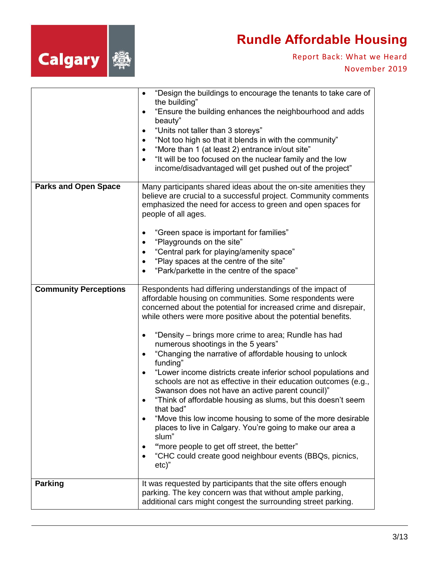

|                                                | "Design the buildings to encourage the tenants to take care of<br>$\bullet$<br>the building"<br>"Ensure the building enhances the neighbourhood and adds<br>$\bullet$<br>beauty"<br>"Units not taller than 3 storeys"<br>$\bullet$<br>"Not too high so that it blends in with the community"<br>$\bullet$<br>"More than 1 (at least 2) entrance in/out site"<br>$\bullet$<br>"It will be too focused on the nuclear family and the low<br>$\bullet$<br>income/disadvantaged will get pushed out of the project"                                                                                                                                                                                                                                                                                                                                                                                                                                                                                                                                                                       |
|------------------------------------------------|---------------------------------------------------------------------------------------------------------------------------------------------------------------------------------------------------------------------------------------------------------------------------------------------------------------------------------------------------------------------------------------------------------------------------------------------------------------------------------------------------------------------------------------------------------------------------------------------------------------------------------------------------------------------------------------------------------------------------------------------------------------------------------------------------------------------------------------------------------------------------------------------------------------------------------------------------------------------------------------------------------------------------------------------------------------------------------------|
| <b>Parks and Open Space</b>                    | Many participants shared ideas about the on-site amenities they<br>believe are crucial to a successful project. Community comments<br>emphasized the need for access to green and open spaces for<br>people of all ages.<br>"Green space is important for families"<br>$\bullet$<br>"Playgrounds on the site"<br>$\bullet$<br>"Central park for playing/amenity space"<br>$\bullet$                                                                                                                                                                                                                                                                                                                                                                                                                                                                                                                                                                                                                                                                                                   |
|                                                | "Play spaces at the centre of the site"<br>$\bullet$<br>"Park/parkette in the centre of the space"<br>$\bullet$                                                                                                                                                                                                                                                                                                                                                                                                                                                                                                                                                                                                                                                                                                                                                                                                                                                                                                                                                                       |
| <b>Community Perceptions</b><br><b>Parking</b> | Respondents had differing understandings of the impact of<br>affordable housing on communities. Some respondents were<br>concerned about the potential for increased crime and disrepair,<br>while others were more positive about the potential benefits.<br>"Density - brings more crime to area; Rundle has had<br>$\bullet$<br>numerous shootings in the 5 years"<br>"Changing the narrative of affordable housing to unlock<br>$\bullet$<br>funding"<br>"Lower income districts create inferior school populations and<br>$\bullet$<br>schools are not as effective in their education outcomes (e.g.,<br>Swanson does not have an active parent council)"<br>"Think of affordable housing as slums, but this doesn't seem<br>that bad"<br>"Move this low income housing to some of the more desirable<br>places to live in Calgary. You're going to make our area a<br>slum"<br>"more people to get off street, the better"<br>"CHC could create good neighbour events (BBQs, picnics,<br>$\bullet$<br>$etc)$ "<br>It was requested by participants that the site offers enough |
|                                                | parking. The key concern was that without ample parking,<br>additional cars might congest the surrounding street parking.                                                                                                                                                                                                                                                                                                                                                                                                                                                                                                                                                                                                                                                                                                                                                                                                                                                                                                                                                             |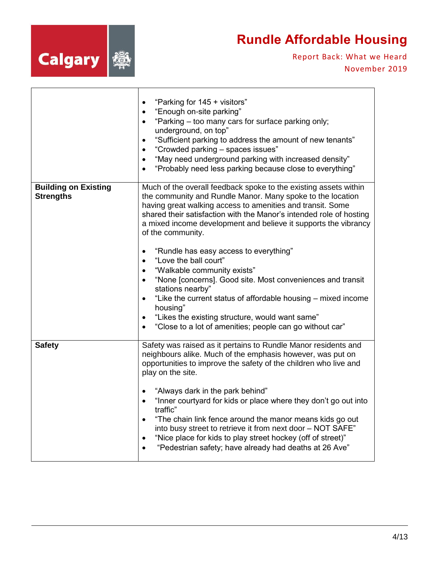

<span id="page-3-0"></span>

| <b>Building on Existing</b><br><b>Strengths</b> | "Parking for 145 + visitors"<br>$\bullet$<br>"Enough on-site parking"<br>"Parking - too many cars for surface parking only;<br>$\bullet$<br>underground, on top"<br>"Sufficient parking to address the amount of new tenants"<br>$\bullet$<br>"Crowded parking - spaces issues"<br>$\bullet$<br>"May need underground parking with increased density"<br>$\bullet$<br>"Probably need less parking because close to everything"<br>Much of the overall feedback spoke to the existing assets within<br>the community and Rundle Manor. Many spoke to the location<br>having great walking access to amenities and transit. Some<br>shared their satisfaction with the Manor's intended role of hosting |
|-------------------------------------------------|-------------------------------------------------------------------------------------------------------------------------------------------------------------------------------------------------------------------------------------------------------------------------------------------------------------------------------------------------------------------------------------------------------------------------------------------------------------------------------------------------------------------------------------------------------------------------------------------------------------------------------------------------------------------------------------------------------|
|                                                 | a mixed income development and believe it supports the vibrancy<br>of the community.<br>"Rundle has easy access to everything"<br>$\bullet$<br>"Love the ball court"<br>"Walkable community exists"<br>"None [concerns]. Good site. Most conveniences and transit<br>$\bullet$<br>stations nearby"<br>"Like the current status of affordable housing - mixed income<br>$\bullet$<br>housing"<br>"Likes the existing structure, would want same"<br>٠<br>"Close to a lot of amenities; people can go without car"                                                                                                                                                                                      |
| <b>Safety</b>                                   | Safety was raised as it pertains to Rundle Manor residents and<br>neighbours alike. Much of the emphasis however, was put on<br>opportunities to improve the safety of the children who live and<br>play on the site.<br>"Always dark in the park behind"<br>"Inner courtyard for kids or place where they don't go out into<br>$\bullet$<br>traffic"<br>"The chain link fence around the manor means kids go out<br>$\bullet$<br>into busy street to retrieve it from next door - NOT SAFE"<br>"Nice place for kids to play street hockey (off of street)"<br>$\bullet$<br>"Pedestrian safety; have already had deaths at 26 Ave"                                                                    |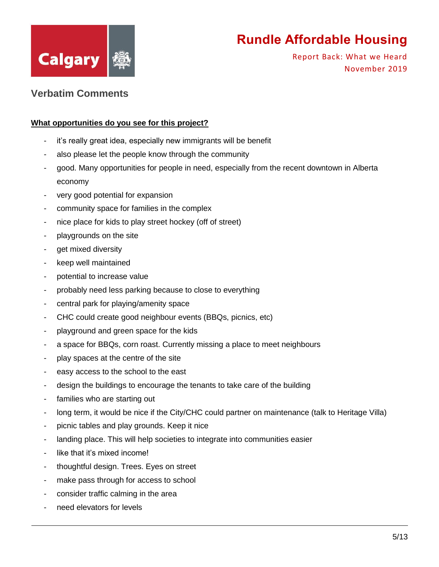

Report Back: What we Heard November 2019

### **Verbatim Comments**

#### **What opportunities do you see for this project?**

- it's really great idea, especially new immigrants will be benefit
- also please let the people know through the community
- good. Many opportunities for people in need, especially from the recent downtown in Alberta economy
- very good potential for expansion
- community space for families in the complex
- nice place for kids to play street hockey (off of street)
- playgrounds on the site
- get mixed diversity
- keep well maintained
- potential to increase value
- probably need less parking because to close to everything
- central park for playing/amenity space
- CHC could create good neighbour events (BBQs, picnics, etc)
- playground and green space for the kids
- a space for BBQs, corn roast. Currently missing a place to meet neighbours
- play spaces at the centre of the site
- easy access to the school to the east
- design the buildings to encourage the tenants to take care of the building
- families who are starting out
- long term, it would be nice if the City/CHC could partner on maintenance (talk to Heritage Villa)
- picnic tables and play grounds. Keep it nice
- landing place. This will help societies to integrate into communities easier
- like that it's mixed income!
- thoughtful design. Trees. Eyes on street
- make pass through for access to school
- consider traffic calming in the area
- need elevators for levels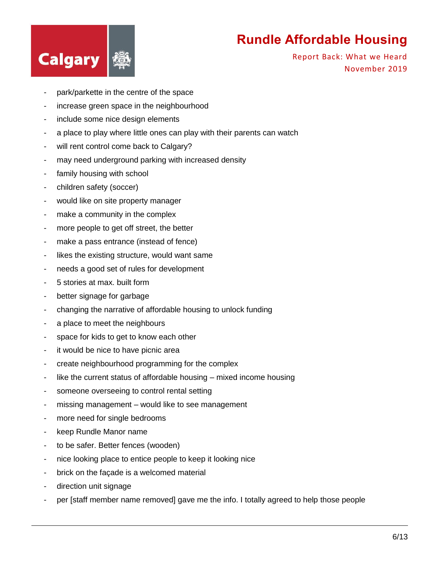

- park/parkette in the centre of the space
- increase green space in the neighbourhood
- include some nice design elements
- a place to play where little ones can play with their parents can watch
- will rent control come back to Calgary?
- may need underground parking with increased density
- family housing with school
- children safety (soccer)
- would like on site property manager
- make a community in the complex
- more people to get off street, the better
- make a pass entrance (instead of fence)
- likes the existing structure, would want same
- needs a good set of rules for development
- 5 stories at max. built form
- better signage for garbage
- changing the narrative of affordable housing to unlock funding
- a place to meet the neighbours
- space for kids to get to know each other
- it would be nice to have picnic area
- create neighbourhood programming for the complex
- like the current status of affordable housing mixed income housing
- someone overseeing to control rental setting
- missing management would like to see management
- more need for single bedrooms
- keep Rundle Manor name
- to be safer. Better fences (wooden)
- nice looking place to entice people to keep it looking nice
- brick on the façade is a welcomed material
- direction unit signage
- per [staff member name removed] gave me the info. I totally agreed to help those people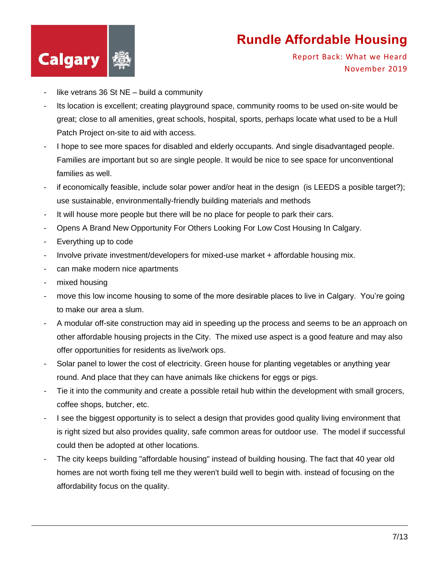

- like vetrans 36 St  $NE$  build a community
- Its location is excellent; creating playground space, community rooms to be used on-site would be great; close to all amenities, great schools, hospital, sports, perhaps locate what used to be a Hull Patch Project on-site to aid with access.
- I hope to see more spaces for disabled and elderly occupants. And single disadvantaged people. Families are important but so are single people. It would be nice to see space for unconventional families as well.
- if economically feasible, include solar power and/or heat in the design (is LEEDS a posible target?); use sustainable, environmentally-friendly building materials and methods
- It will house more people but there will be no place for people to park their cars.
- Opens A Brand New Opportunity For Others Looking For Low Cost Housing In Calgary.
- Everything up to code
- Involve private investment/developers for mixed-use market + affordable housing mix.
- can make modern nice apartments
- mixed housing
- move this low income housing to some of the more desirable places to live in Calgary. You're going to make our area a slum.
- A modular off-site construction may aid in speeding up the process and seems to be an approach on other affordable housing projects in the City. The mixed use aspect is a good feature and may also offer opportunities for residents as live/work ops.
- Solar panel to lower the cost of electricity. Green house for planting vegetables or anything year round. And place that they can have animals like chickens for eggs or pigs.
- Tie it into the community and create a possible retail hub within the development with small grocers, coffee shops, butcher, etc.
- I see the biggest opportunity is to select a design that provides good quality living environment that is right sized but also provides quality, safe common areas for outdoor use. The model if successful could then be adopted at other locations.
- The city keeps building "affordable housing" instead of building housing. The fact that 40 year old homes are not worth fixing tell me they weren't build well to begin with. instead of focusing on the affordability focus on the quality.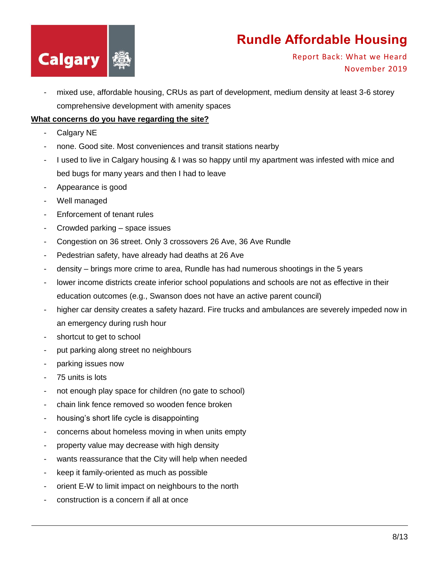

Report Back: What we Heard November 2019

- mixed use, affordable housing, CRUs as part of development, medium density at least 3-6 storey comprehensive development with amenity spaces

#### **What concerns do you have regarding the site?**

- Calgary NE
- none. Good site. Most conveniences and transit stations nearby
- I used to live in Calgary housing & I was so happy until my apartment was infested with mice and bed bugs for many years and then I had to leave
- Appearance is good
- Well managed
- Enforcement of tenant rules
- Crowded parking space issues
- Congestion on 36 street. Only 3 crossovers 26 Ave, 36 Ave Rundle
- Pedestrian safety, have already had deaths at 26 Ave
- density brings more crime to area, Rundle has had numerous shootings in the 5 years
- lower income districts create inferior school populations and schools are not as effective in their education outcomes (e.g., Swanson does not have an active parent council)
- higher car density creates a safety hazard. Fire trucks and ambulances are severely impeded now in an emergency during rush hour
- shortcut to get to school
- put parking along street no neighbours
- parking issues now
- 75 units is lots
- not enough play space for children (no gate to school)
- chain link fence removed so wooden fence broken
- housing's short life cycle is disappointing
- concerns about homeless moving in when units empty
- property value may decrease with high density
- wants reassurance that the City will help when needed
- keep it family-oriented as much as possible
- orient E-W to limit impact on neighbours to the north
- construction is a concern if all at once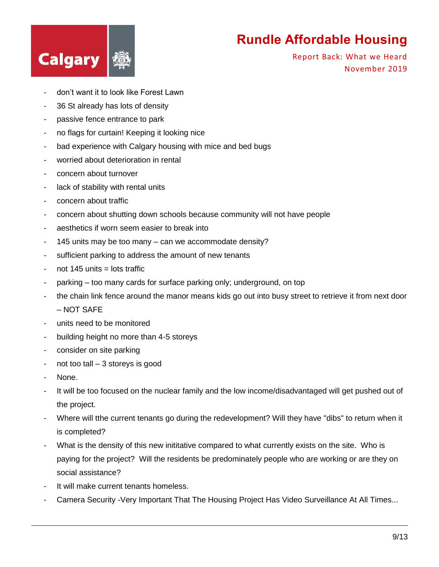

- don't want it to look like Forest Lawn
- 36 St already has lots of density
- passive fence entrance to park
- no flags for curtain! Keeping it looking nice
- bad experience with Calgary housing with mice and bed bugs
- worried about deterioration in rental
- concern about turnover
- lack of stability with rental units
- concern about traffic
- concern about shutting down schools because community will not have people
- aesthetics if worn seem easier to break into
- 145 units may be too many can we accommodate density?
- sufficient parking to address the amount of new tenants
- $-$  not 145 units  $=$  lots traffic
- parking too many cards for surface parking only; underground, on top
- the chain link fence around the manor means kids go out into busy street to retrieve it from next door – NOT SAFE
- units need to be monitored
- building height no more than 4-5 storeys
- consider on site parking
- not too tall 3 storeys is good
- None.
- It will be too focused on the nuclear family and the low income/disadvantaged will get pushed out of the project.
- Where will tthe current tenants go during the redevelopment? Will they have "dibs" to return when it is completed?
- What is the density of this new inititative compared to what currently exists on the site. Who is paying for the project? Will the residents be predominately people who are working or are they on social assistance?
- It will make current tenants homeless.
- Camera Security -Very Important That The Housing Project Has Video Surveillance At All Times...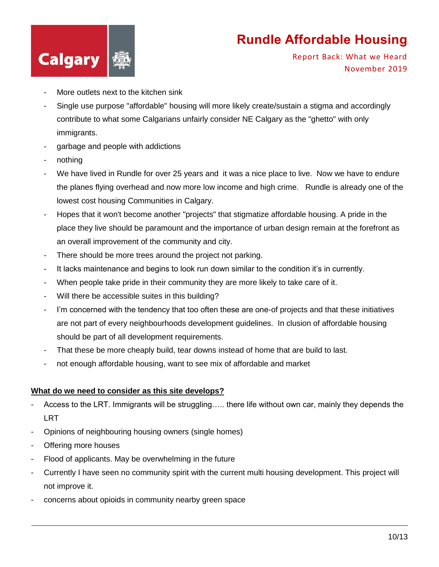

Report Back: What we Heard November 2019

- More outlets next to the kitchen sink
- Single use purpose "affordable" housing will more likely create/sustain a stigma and accordingly contribute to what some Calgarians unfairly consider NE Calgary as the "ghetto" with only immigrants.
- garbage and people with addictions
- nothing
- We have lived in Rundle for over 25 years and it was a nice place to live. Now we have to endure the planes flying overhead and now more low income and high crime. Rundle is already one of the lowest cost housing Communities in Calgary.
- Hopes that it won't become another "projects" that stigmatize affordable housing. A pride in the place they live should be paramount and the importance of urban design remain at the forefront as an overall improvement of the community and city.
- There should be more trees around the project not parking.
- It lacks maintenance and begins to look run down similar to the condition it's in currently.
- When people take pride in their community they are more likely to take care of it.
- Will there be accessible suites in this building?
- I'm concerned with the tendency that too often these are one-of projects and that these initiatives are not part of every neighbourhoods development guidelines. In clusion of affordable housing should be part of all development requirements.
- That these be more cheaply build, tear downs instead of home that are build to last.
- not enough affordable housing, want to see mix of affordable and market

#### **What do we need to consider as this site develops?**

- Access to the LRT. Immigrants will be struggling….. there life without own car, mainly they depends the **LRT**
- Opinions of neighbouring housing owners (single homes)
- Offering more houses
- Flood of applicants. May be overwhelming in the future
- Currently I have seen no community spirit with the current multi housing development. This project will not improve it.
- concerns about opioids in community nearby green space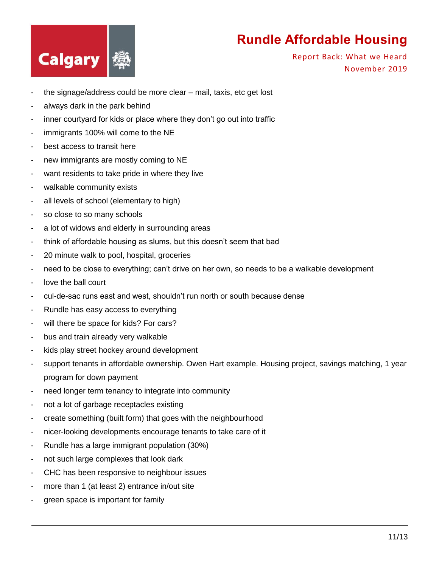

- the signage/address could be more clear mail, taxis, etc get lost
- always dark in the park behind
- inner courtyard for kids or place where they don't go out into traffic
- immigrants 100% will come to the NE
- best access to transit here
- new immigrants are mostly coming to NE
- want residents to take pride in where they live
- walkable community exists
- all levels of school (elementary to high)
- so close to so many schools
- a lot of widows and elderly in surrounding areas
- think of affordable housing as slums, but this doesn't seem that bad
- 20 minute walk to pool, hospital, groceries
- need to be close to everything; can't drive on her own, so needs to be a walkable development
- love the ball court
- cul-de-sac runs east and west, shouldn't run north or south because dense
- Rundle has easy access to everything
- will there be space for kids? For cars?
- bus and train already very walkable
- kids play street hockey around development
- support tenants in affordable ownership. Owen Hart example. Housing project, savings matching, 1 year program for down payment
- need longer term tenancy to integrate into community
- not a lot of garbage receptacles existing
- create something (built form) that goes with the neighbourhood
- nicer-looking developments encourage tenants to take care of it
- Rundle has a large immigrant population (30%)
- not such large complexes that look dark
- CHC has been responsive to neighbour issues
- more than 1 (at least 2) entrance in/out site
- green space is important for family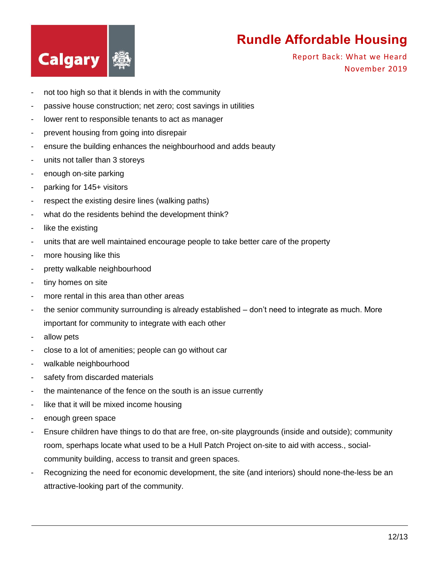

- not too high so that it blends in with the community
- passive house construction; net zero; cost savings in utilities
- lower rent to responsible tenants to act as manager
- prevent housing from going into disrepair
- ensure the building enhances the neighbourhood and adds beauty
- units not taller than 3 storeys
- enough on-site parking
- parking for 145+ visitors
- respect the existing desire lines (walking paths)
- what do the residents behind the development think?
- like the existing
- units that are well maintained encourage people to take better care of the property
- more housing like this
- pretty walkable neighbourhood
- tiny homes on site
- more rental in this area than other areas
- the senior community surrounding is already established don't need to integrate as much. More important for community to integrate with each other
- allow pets
- close to a lot of amenities; people can go without car
- walkable neighbourhood
- safety from discarded materials
- the maintenance of the fence on the south is an issue currently
- like that it will be mixed income housing
- enough green space
- Ensure children have things to do that are free, on-site playgrounds (inside and outside); community room, sperhaps locate what used to be a Hull Patch Project on-site to aid with access., socialcommunity building, access to transit and green spaces.
- Recognizing the need for economic development, the site (and interiors) should none-the-less be an attractive-looking part of the community.